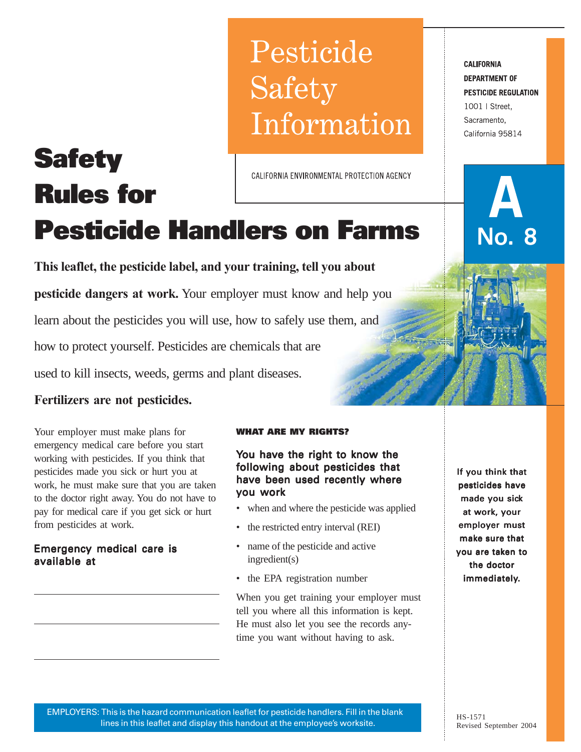# Pesticide Safety Information

CALIFORNIA ENVIRONMENTAL PROTECTION AGENCY

# **Pesticide Handlers on Farms**

**This leaflet, the pesticide label, and your training, tell you about**

**pesticide dangers at work.** Your employer must know and help you

learn about the pesticides you will use, how to safely use them, and

how to protect yourself. Pesticides are chemicals that are

used to kill insects, weeds, germs and plant diseases.

# **Fertilizers are not pesticides.**

**Safety**

**Rules for**

Your employer must make plans for emergency medical care before you start working with pesticides. If you think that pesticides made you sick or hurt you at work, he must make sure that you are taken to the doctor right away. You do not have to pay for medical care if you get sick or hurt from pesticides at work.

## Emergency medical care is available at

#### **WHAT ARE MY RIGHTS?**

You have the right to know the following about pesticides that have been used recently where you work

- when and where the pesticide was applied
- the restricted entry interval (REI)
- name of the pesticide and active ingredient(s)
- the EPA registration number

When you get training your employer must tell you where all this information is kept. He must also let you see the records anytime you want without having to ask.

If you think that pesticides have made you sick at work, your employer must make sure that you are taken to the doctor immediately.

**CALIFORNIA DEPARTMENT OF PESTICIDE REGULATION** 1001 | Street, Sacramento, California 95814

No. 8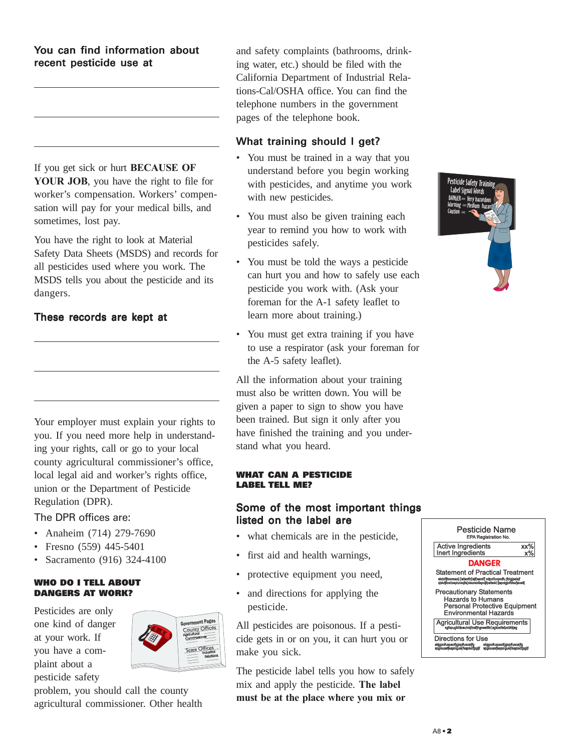#### You can find information about recent pesticide use at

If you get sick or hurt **BECAUSE OF YOUR JOB**, you have the right to file for worker's compensation. Workers' compensation will pay for your medical bills, and sometimes, lost pay.

You have the right to look at Material Safety Data Sheets (MSDS) and records for all pesticides used where you work. The MSDS tells you about the pesticide and its dangers.

## These records are kept at

Your employer must explain your rights to you. If you need more help in understanding your rights, call or go to your local county agricultural commissioner's office, local legal aid and worker's rights office, union or the Department of Pesticide Regulation (DPR).

#### The DPR offices are:

- Anaheim (714) 279-7690
- Fresno (559) 445-5401
- Sacramento (916) 324-4100

#### **WHO DO I TELL ABOUT DANGERS AT WORK?**

Pesticides are only one kind of danger at your work. If you have a complaint about a pesticide safety



problem, you should call the county agricultural commissioner. Other health and safety complaints (bathrooms, drinking water, etc.) should be filed with the California Department of Industrial Relations-Cal/OSHA office. You can find the telephone numbers in the government pages of the telephone book.

## What training should I get?

- You must be trained in a way that you understand before you begin working with pesticides, and anytime you work with new pesticides.
- You must also be given training each year to remind you how to work with pesticides safely.
- You must be told the ways a pesticide can hurt you and how to safely use each pesticide you work with. (Ask your foreman for the A-1 safety leaflet to learn more about training.)
- You must get extra training if you have to use a respirator (ask your foreman for the A-5 safety leaflet).

All the information about your training must also be written down. You will be given a paper to sign to show you have been trained. But sign it only after you have finished the training and you understand what you heard.

#### **WHAT CAN A PESTICIDE LABEL TELL ME?**

## Some of the most important things listed on the label are

- what chemicals are in the pesticide,
- first aid and health warnings,
- protective equipment you need,
- and directions for applying the pesticide.

All pesticides are poisonous. If a pesticide gets in or on you, it can hurt you or make you sick.

The pesticide label tells you how to safely mix and apply the pesticide. **The label must be at the place where you mix or**



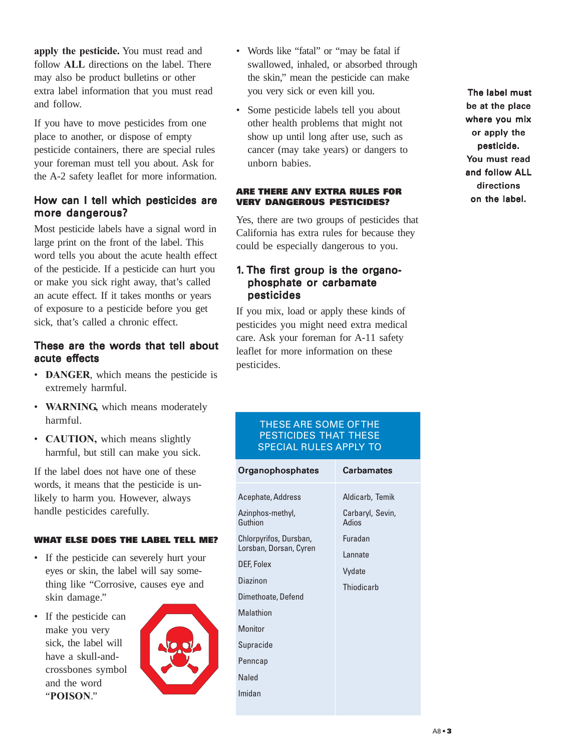**apply the pesticide.** You must read and follow **ALL** directions on the label. There may also be product bulletins or other extra label information that you must read and follow.

If you have to move pesticides from one place to another, or dispose of empty pesticide containers, there are special rules your foreman must tell you about. Ask for the A-2 safety leaflet for more information.

#### How can I tell which pesticides are more dangerous?

Most pesticide labels have a signal word in large print on the front of the label. This word tells you about the acute health effect of the pesticide. If a pesticide can hurt you or make you sick right away, that's called an acute effect. If it takes months or years of exposure to a pesticide before you get sick, that's called a chronic effect.

#### These are the words that tell about acute effects

- **DANGER**, which means the pesticide is extremely harmful.
- **WARNING,** which means moderately harmful.
- **CAUTION,** which means slightly harmful, but still can make you sick.

If the label does not have one of these words, it means that the pesticide is unlikely to harm you. However, always handle pesticides carefully.

#### **WHAT ELSE DOES THE LABEL TELL ME?**

- If the pesticide can severely hurt your eyes or skin, the label will say something like "Corrosive, causes eye and skin damage."
- If the pesticide can make you very sick, the label will have a skull-andcrossbones symbol and the word "**POISON**."



- Words like "fatal" or "may be fatal if swallowed, inhaled, or absorbed through the skin," mean the pesticide can make you very sick or even kill you.
- Some pesticide labels tell you about other health problems that might not show up until long after use, such as cancer (may take years) or dangers to unborn babies.

#### **ARE THERE ANY EXTRA RULES FOR VERY DANGEROUS PESTICIDES?**

Yes, there are two groups of pesticides that California has extra rules for because they could be especially dangerous to you.

## 1. The first group is the organophosphate or carbamate pesticides

If you mix, load or apply these kinds of pesticides you might need extra medical care. Ask your foreman for A-11 safety leaflet for more information on these pesticides.

#### THESE ARE SOME OF THE PESTICIDES THAT THESE SPECIAL RULES APPLY TO

| Organophosphates                                                                                                                                                                                              | <b>Carbamates</b>                                                                                  |
|---------------------------------------------------------------------------------------------------------------------------------------------------------------------------------------------------------------|----------------------------------------------------------------------------------------------------|
| Acephate, Address<br>Azinphos-methyl,<br>Guthion<br>Chlorpyrifos, Dursban,<br>Lorsban, Dorsan, Cyren<br>DEF, Folex<br>Diazinon<br>Dimethoate, Defend<br>Malathion<br>Monitor<br>Supracide<br>Penncap<br>Naled | Aldicarb, Temik<br>Carbaryl, Sevin,<br>Adios<br><b>Furadan</b><br>I annate<br>Vydate<br>Thiodicarb |
| Imidan                                                                                                                                                                                                        |                                                                                                    |

The label must be at the place where you mix or apply the pesticide. pesticide. You must read and follow ALL directions on the label.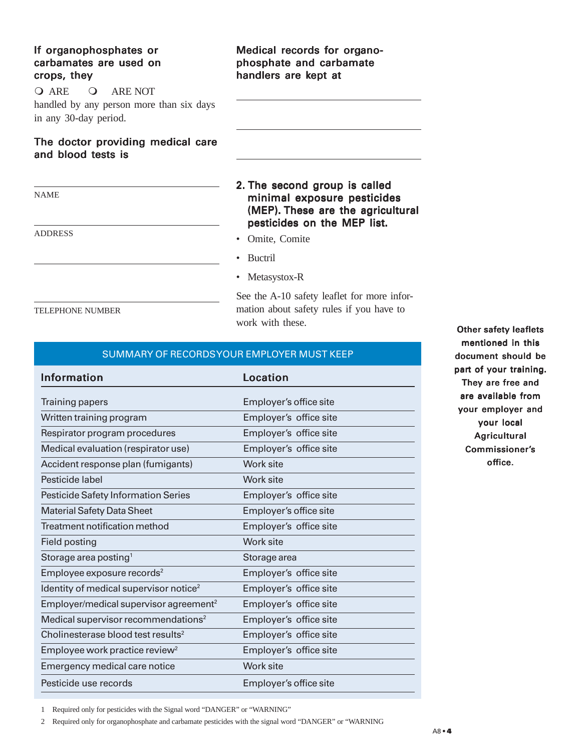## If organophosphates or carbamates are used on crops, they

Q ARE Q ARE NOT handled by any person more than six days

in any 30-day period.

#### The doctor providing medical care and blood tests is

ADDRESS

## Medical records for organophosphate and carbamate handlers are kept at

## 2. The second group is called minimal exposure pesticides (MEP). These are the agricultural pesticides on the MEP list.

- Omite, Comite
- Buctril
- Metasystox-R

See the A-10 safety leaflet for more information about safety rules if you have to work with these.

#### TELEPHONE NUMBER

## SUMMARY OF RECORDS YOUR EMPLOYER MUST KEEP

| <b>Information</b>                                 | Location               |
|----------------------------------------------------|------------------------|
| <b>Training papers</b>                             | Employer's office site |
| Written training program                           | Employer's office site |
| Respirator program procedures                      | Employer's office site |
| Medical evaluation (respirator use)                | Employer's office site |
| Accident response plan (fumigants)                 | Work site              |
| Pesticide label                                    | Work site              |
| Pesticide Safety Information Series                | Employer's office site |
| <b>Material Safety Data Sheet</b>                  | Employer's office site |
| Treatment notification method                      | Employer's office site |
| Field posting                                      | Work site              |
| Storage area posting <sup>1</sup>                  | Storage area           |
| Employee exposure records <sup>2</sup>             | Employer's office site |
| Identity of medical supervisor notice <sup>2</sup> | Employer's office site |
| Employer/medical supervisor agreement <sup>2</sup> | Employer's office site |
| Medical supervisor recommendations <sup>2</sup>    | Employer's office site |
| Cholinesterase blood test results <sup>2</sup>     | Employer's office site |
| Employee work practice review <sup>2</sup>         | Employer's office site |
| Emergency medical care notice                      | Work site              |
| Pesticide use records                              | Employer's office site |

Other safety leaflets mentioned in this document should be part of your training. They are free and are available from your employer and your local **Agricultural** Commissioner's office.

1 Required only for pesticides with the Signal word "DANGER" or "WARNING"

2 Required only for organophosphate and carbamate pesticides with the signal word "DANGER" or "WARNING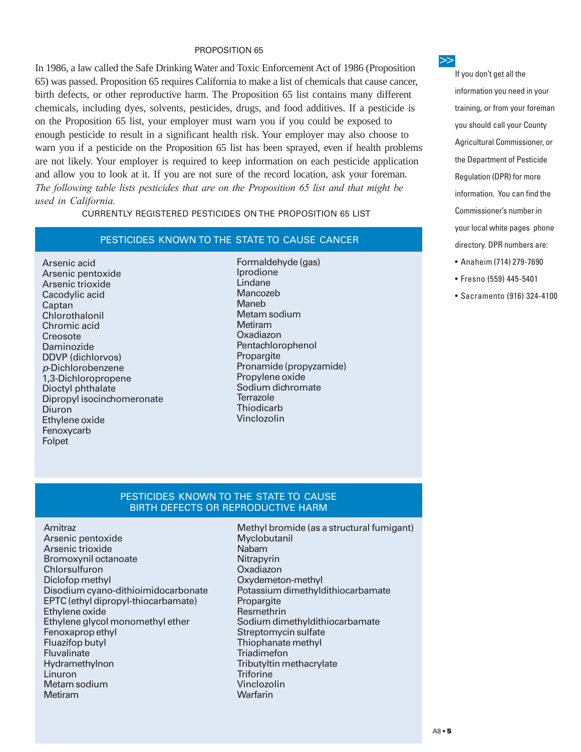#### PROPOSITION 65

In 1986, a law called the Safe Drinking Water and Toxic Enforcement Act of 1986 (Proposition 65) was passed. Proposition 65 requires California to make a list of chemicals that cause cancer, birth defects, or other reproductive harm. The Proposition 65 list contains many different chemicals, including dyes, solvents, pesticides, drugs, and food additives. If a pesticide is on the Proposition 65 list, your employer must warn you if you could be exposed to enough pesticide to result in a significant health risk. Your employer may also choose to warn you if a pesticide on the Proposition 65 list has been sprayed, even if health problems are not likely. Your employer is required to keep information on each pesticide application and allow you to look at it. If you are not sure of the record location, ask your foreman. *The following table lists pesticides that are on the Proposition 65 list and that might be used in California.*

CURRENTLY REGISTERED PESTICIDES ON THE PROPOSITION 65 LIST

#### PESTICIDES KNOWN TO THE STATE TO CAUSE CANCER

Arsenic acid Arsenic pentoxide Arsenic trioxide Cacodylic acid **Captan** Chlorothalonil Chromic acid **Creosote** Daminozide DDVP (dichlorvos) p-Dichlorobenzene 1,3-Dichloropropene Dioctyl phthalate Dipropyl isocinchomeronate Diuron Ethylene oxide Fenoxycarb Folpet

Formaldehyde (gas) Iprodione Lindane Mancozeb Maneb Metam sodium Metiram Oxadiazon Pentachlorophenol Propargite Pronamide (propyzamide) Propylene oxide Sodium dichromate **Terrazole Thiodicarb** Vinclozolin

**>>**

If you don't get all the information you need in your training, or from your foreman you should call your County Agricultural Commissioner, or the Department of Pesticide Regulation (DPR) for more information. You can find the Commissioner's number in your local white pages phone directory. DPR numbers are: • Anaheim (714) 279-7690

- 
- Fresno (559) 445-5401
- Sacramento (916) 324-4100

#### PESTICIDES KNOWN TO THE STATE TO CAUSE BIRTH DEFECTS OR REPRODUCTIVE HARM

Amitraz Arsenic pentoxide Arsenic trioxide Bromoxynil octanoate Chlorsulfuron Diclofop methyl Disodium cyano-dithioimidocarbonate EPTC (ethyl dipropyl-thiocarbamate) Ethylene oxide Ethylene glycol monomethyl ether Fenoxaprop ethyl Fluazifop butyl **Fluvalinate** Hydramethylnon Linuron Metam sodium Metiram

Methyl bromide (as a structural fumigant) Myclobutanil Nabam **Nitrapyrin** Oxadiazon Oxydemeton-methyl Potassium dimethyldithiocarbamate Propargite Resmethrin Sodium dimethyldithiocarbamate Streptomycin sulfate Thiophanate methyl **Triadimefon** Tributyltin methacrylate **Triforine** Vinclozolin **Warfarin**